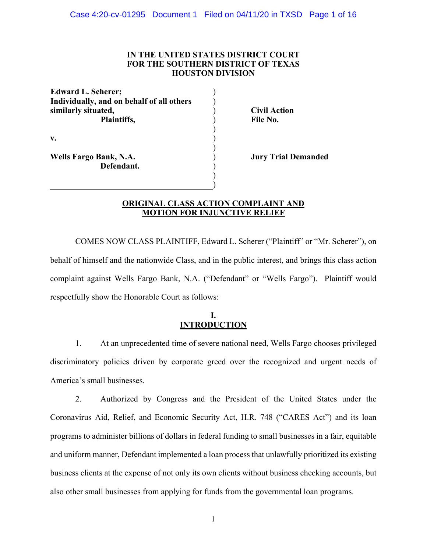## **IN THE UNITED STATES DISTRICT COURT FOR THE SOUTHERN DISTRICT OF TEXAS HOUSTON DIVISION**

) ) )  $\tilde{)}$ ) ) ) ) ) )

**Edward L. Scherer; Individually, and on behalf of all others similarly situated, Plaintiffs, v.**

**Civil Action File No.**

**Wells Fargo Bank, N.A. Defendant.** **Jury Trial Demanded**

## **ORIGINAL CLASS ACTION COMPLAINT AND MOTION FOR INJUNCTIVE RELIEF**

)

COMES NOW CLASS PLAINTIFF, Edward L. Scherer ("Plaintiff" or "Mr. Scherer"), on behalf of himself and the nationwide Class, and in the public interest, and brings this class action complaint against Wells Fargo Bank, N.A. ("Defendant" or "Wells Fargo"). Plaintiff would respectfully show the Honorable Court as follows:

## **I. INTRODUCTION**

1. At an unprecedented time of severe national need, Wells Fargo chooses privileged discriminatory policies driven by corporate greed over the recognized and urgent needs of America's small businesses.

2. Authorized by Congress and the President of the United States under the Coronavirus Aid, Relief, and Economic Security Act, H.R. 748 ("CARES Act") and its loan programs to administer billions of dollars in federal funding to small businesses in a fair, equitable and uniform manner, Defendant implemented a loan process that unlawfully prioritized its existing business clients at the expense of not only its own clients without business checking accounts, but also other small businesses from applying for funds from the governmental loan programs.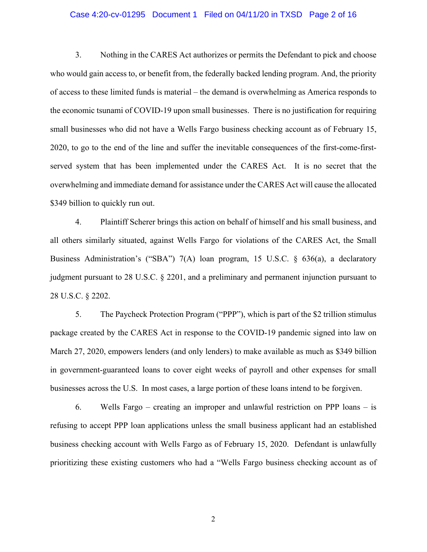#### Case 4:20-cv-01295 Document 1 Filed on 04/11/20 in TXSD Page 2 of 16

3. Nothing in the CARES Act authorizes or permits the Defendant to pick and choose who would gain access to, or benefit from, the federally backed lending program. And, the priority of access to these limited funds is material – the demand is overwhelming as America responds to the economic tsunami of COVID-19 upon small businesses. There is no justification for requiring small businesses who did not have a Wells Fargo business checking account as of February 15, 2020, to go to the end of the line and suffer the inevitable consequences of the first-come-firstserved system that has been implemented under the CARES Act. It is no secret that the overwhelming and immediate demand for assistance under the CARES Act will cause the allocated \$349 billion to quickly run out.

4. Plaintiff Scherer brings this action on behalf of himself and his small business, and all others similarly situated, against Wells Fargo for violations of the CARES Act, the Small Business Administration's ("SBA") 7(A) loan program, 15 U.S.C. § 636(a), a declaratory judgment pursuant to 28 U.S.C. § 2201, and a preliminary and permanent injunction pursuant to 28 U.S.C. § 2202.

5. The Paycheck Protection Program ("PPP"), which is part of the \$2 trillion stimulus package created by the CARES Act in response to the COVID-19 pandemic signed into law on March 27, 2020, empowers lenders (and only lenders) to make available as much as \$349 billion in government-guaranteed loans to cover eight weeks of payroll and other expenses for small businesses across the U.S. In most cases, a large portion of these loans intend to be forgiven.

6. Wells Fargo – creating an improper and unlawful restriction on PPP loans – is refusing to accept PPP loan applications unless the small business applicant had an established business checking account with Wells Fargo as of February 15, 2020. Defendant is unlawfully prioritizing these existing customers who had a "Wells Fargo business checking account as of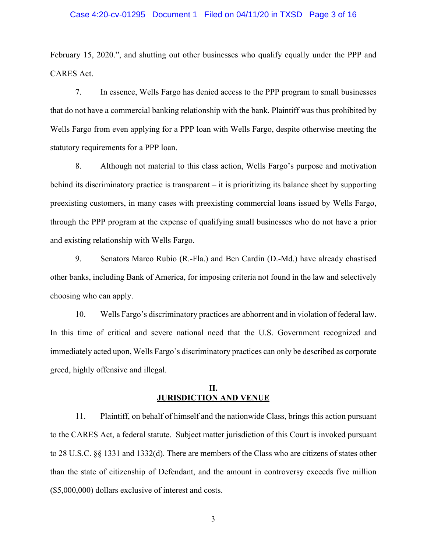#### Case 4:20-cv-01295 Document 1 Filed on 04/11/20 in TXSD Page 3 of 16

February 15, 2020.", and shutting out other businesses who qualify equally under the PPP and CARES Act.

7. In essence, Wells Fargo has denied access to the PPP program to small businesses that do not have a commercial banking relationship with the bank. Plaintiff was thus prohibited by Wells Fargo from even applying for a PPP loan with Wells Fargo, despite otherwise meeting the statutory requirements for a PPP loan.

8. Although not material to this class action, Wells Fargo's purpose and motivation behind its discriminatory practice is transparent – it is prioritizing its balance sheet by supporting preexisting customers, in many cases with preexisting commercial loans issued by Wells Fargo, through the PPP program at the expense of qualifying small businesses who do not have a prior and existing relationship with Wells Fargo.

9. Senators Marco Rubio (R.-Fla.) and Ben Cardin (D.-Md.) have already chastised other banks, including Bank of America, for imposing criteria not found in the law and selectively choosing who can apply.

10. Wells Fargo's discriminatory practices are abhorrent and in violation of federal law. In this time of critical and severe national need that the U.S. Government recognized and immediately acted upon, Wells Fargo's discriminatory practices can only be described as corporate greed, highly offensive and illegal.

### **II. JURISDICTION AND VENUE**

11. Plaintiff, on behalf of himself and the nationwide Class, brings this action pursuant to the CARES Act, a federal statute. Subject matter jurisdiction of this Court is invoked pursuant to 28 U.S.C. §§ 1331 and 1332(d). There are members of the Class who are citizens of states other than the state of citizenship of Defendant, and the amount in controversy exceeds five million (\$5,000,000) dollars exclusive of interest and costs.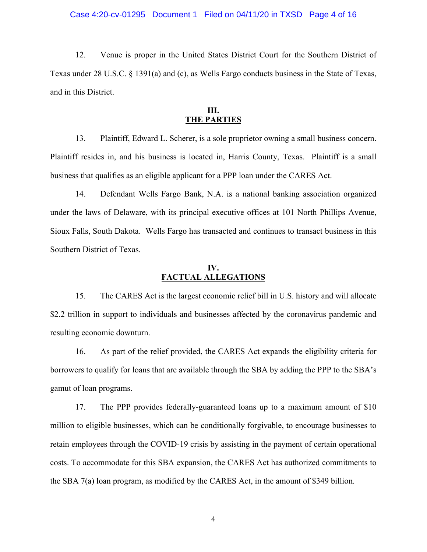12. Venue is proper in the United States District Court for the Southern District of Texas under 28 U.S.C. § 1391(a) and (c), as Wells Fargo conducts business in the State of Texas, and in this District.

### **III. THE PARTIES**

13. Plaintiff, Edward L. Scherer, is a sole proprietor owning a small business concern. Plaintiff resides in, and his business is located in, Harris County, Texas. Plaintiff is a small business that qualifies as an eligible applicant for a PPP loan under the CARES Act.

14. Defendant Wells Fargo Bank, N.A. is a national banking association organized under the laws of Delaware, with its principal executive offices at 101 North Phillips Avenue, Sioux Falls, South Dakota. Wells Fargo has transacted and continues to transact business in this Southern District of Texas.

### **IV. FACTUAL ALLEGATIONS**

15. The CARES Act is the largest economic relief bill in U.S. history and will allocate \$2.2 trillion in support to individuals and businesses affected by the coronavirus pandemic and resulting economic downturn.

16. As part of the relief provided, the CARES Act expands the eligibility criteria for borrowers to qualify for loans that are available through the SBA by adding the PPP to the SBA's gamut of loan programs.

17. The PPP provides federally-guaranteed loans up to a maximum amount of \$10 million to eligible businesses, which can be conditionally forgivable, to encourage businesses to retain employees through the COVID-19 crisis by assisting in the payment of certain operational costs. To accommodate for this SBA expansion, the CARES Act has authorized commitments to the SBA 7(a) loan program, as modified by the CARES Act, in the amount of \$349 billion.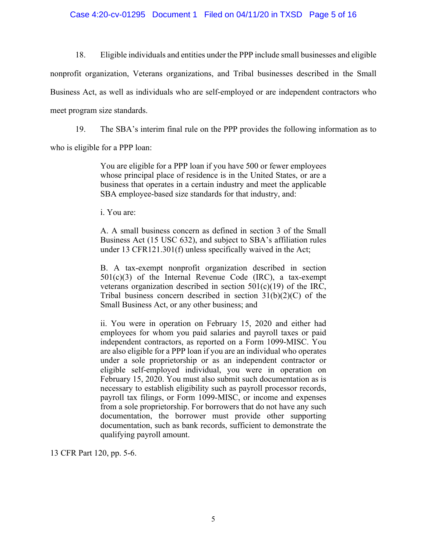### Case 4:20-cv-01295 Document 1 Filed on 04/11/20 in TXSD Page 5 of 16

18. Eligible individuals and entities under the PPP include small businesses and eligible

nonprofit organization, Veterans organizations, and Tribal businesses described in the Small Business Act, as well as individuals who are self-employed or are independent contractors who meet program size standards.

19. The SBA's interim final rule on the PPP provides the following information as to

who is eligible for a PPP loan:

You are eligible for a PPP loan if you have 500 or fewer employees whose principal place of residence is in the United States, or are a business that operates in a certain industry and meet the applicable SBA employee-based size standards for that industry, and:

i. You are:

A. A small business concern as defined in section 3 of the Small Business Act (15 USC 632), and subject to SBA's affiliation rules under 13 CFR121.301(f) unless specifically waived in the Act;

B. A tax-exempt nonprofit organization described in section  $501(c)(3)$  of the Internal Revenue Code (IRC), a tax-exempt veterans organization described in section 501(c)(19) of the IRC, Tribal business concern described in section 31(b)(2)(C) of the Small Business Act, or any other business; and

ii. You were in operation on February 15, 2020 and either had employees for whom you paid salaries and payroll taxes or paid independent contractors, as reported on a Form 1099-MISC. You are also eligible for a PPP loan if you are an individual who operates under a sole proprietorship or as an independent contractor or eligible self-employed individual, you were in operation on February 15, 2020. You must also submit such documentation as is necessary to establish eligibility such as payroll processor records, payroll tax filings, or Form 1099-MISC, or income and expenses from a sole proprietorship. For borrowers that do not have any such documentation, the borrower must provide other supporting documentation, such as bank records, sufficient to demonstrate the qualifying payroll amount.

13 CFR Part 120, pp. 5-6.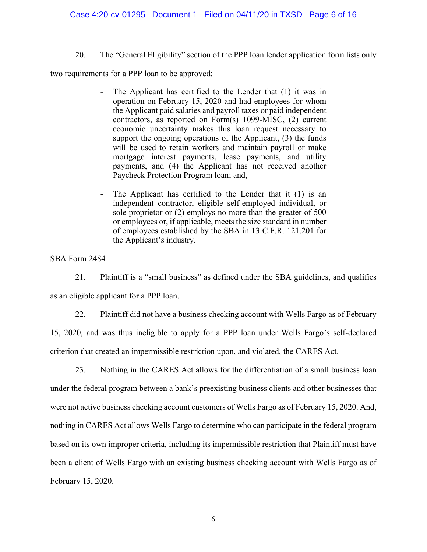### Case 4:20-cv-01295 Document 1 Filed on 04/11/20 in TXSD Page 6 of 16

### 20. The "General Eligibility" section of the PPP loan lender application form lists only

two requirements for a PPP loan to be approved:

- The Applicant has certified to the Lender that (1) it was in operation on February 15, 2020 and had employees for whom the Applicant paid salaries and payroll taxes or paid independent contractors, as reported on Form(s) 1099-MISC, (2) current economic uncertainty makes this loan request necessary to support the ongoing operations of the Applicant, (3) the funds will be used to retain workers and maintain payroll or make mortgage interest payments, lease payments, and utility payments, and (4) the Applicant has not received another Paycheck Protection Program loan; and,
- The Applicant has certified to the Lender that it  $(1)$  is an independent contractor, eligible self-employed individual, or sole proprietor or (2) employs no more than the greater of 500 or employees or, if applicable, meets the size standard in number of employees established by the SBA in 13 C.F.R. 121.201 for the Applicant's industry.

## SBA Form 2484

21. Plaintiff is a "small business" as defined under the SBA guidelines, and qualifies as an eligible applicant for a PPP loan.

22. Plaintiff did not have a business checking account with Wells Fargo as of February 15, 2020, and was thus ineligible to apply for a PPP loan under Wells Fargo's self-declared criterion that created an impermissible restriction upon, and violated, the CARES Act.

23. Nothing in the CARES Act allows for the differentiation of a small business loan under the federal program between a bank's preexisting business clients and other businesses that were not active business checking account customers of Wells Fargo as of February 15, 2020. And, nothing in CARES Act allows Wells Fargo to determine who can participate in the federal program based on its own improper criteria, including its impermissible restriction that Plaintiff must have been a client of Wells Fargo with an existing business checking account with Wells Fargo as of February 15, 2020.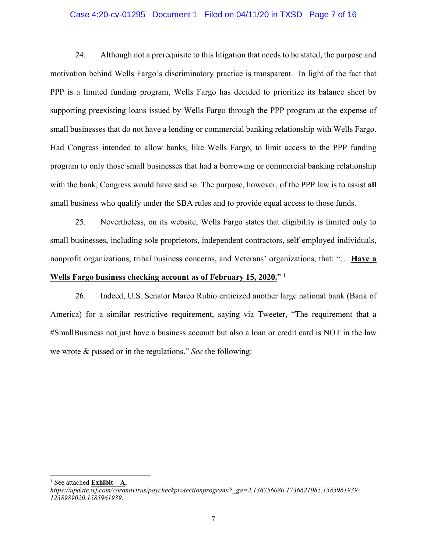#### Case 4:20-cv-01295 Document 1 Filed on 04/11/20 in TXSD Page 7 of 16

24. Although not a prerequisite to this litigation that needs to be stated, the purpose and motivation behind Wells Fargo's discriminatory practice is transparent. In light of the fact that PPP is a limited funding program, Wells Fargo has decided to prioritize its balance sheet by supporting preexisting loans issued by Wells Fargo through the PPP program at the expense of small businesses that do not have a lending or commercial banking relationship with Wells Fargo. Had Congress intended to allow banks, like Wells Fargo, to limit access to the PPP funding program to only those small businesses that had a borrowing or commercial banking relationship with the bank, Congress would have said so. The purpose, however, of the PPP law is to assist **all** small business who qualify under the SBA rules and to provide equal access to those funds.

25. Nevertheless, on its website, Wells Fargo states that eligibility is limited only to small businesses, including sole proprietors, independent contractors, self-employed individuals, nonprofit organizations, tribal business concerns, and Veterans' organizations, that: "… **Have a** 

## **Wells Fargo business checking account as of February 15, 2020.**" 1

26. Indeed, U.S. Senator Marco Rubio criticized another large national bank (Bank of America) for a similar restrictive requirement, saying via Tweeter, "The requirement that a #SmallBusiness not just have a business account but also a loan or credit card is NOT in the law we wrote & passed or in the regulations." *See* the following:

<sup>1</sup> See attached  $\overline{\text{Exhibit} - \text{A}}$ ,

*https://update.wf.com/coronavirus/paycheckprotectionprogram/?\_ga=2.136756080.1736621085.1585961939- 1238989020.1585961939*.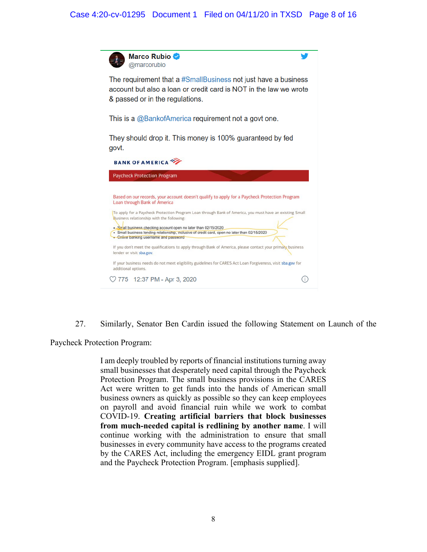# Case 4:20-cv-01295 Document 1 Filed on 04/11/20 in TXSD Page 8 of 16

| Marco Rubio ♥<br>@marcorubio                                                                                                                                                                                                                                                                                                                                                                                                                                                                          |  |
|-------------------------------------------------------------------------------------------------------------------------------------------------------------------------------------------------------------------------------------------------------------------------------------------------------------------------------------------------------------------------------------------------------------------------------------------------------------------------------------------------------|--|
| The requirement that a #SmallBusiness not just have a business<br>account but also a loan or credit card is NOT in the law we wrote<br>& passed or in the regulations.                                                                                                                                                                                                                                                                                                                                |  |
| This is a @BankofAmerica requirement not a govt one.                                                                                                                                                                                                                                                                                                                                                                                                                                                  |  |
| They should drop it. This money is 100% guaranteed by fed<br>govt.                                                                                                                                                                                                                                                                                                                                                                                                                                    |  |
|                                                                                                                                                                                                                                                                                                                                                                                                                                                                                                       |  |
| <b>BANK OF AMERICA</b>                                                                                                                                                                                                                                                                                                                                                                                                                                                                                |  |
| <b>Paycheck Protection Program</b>                                                                                                                                                                                                                                                                                                                                                                                                                                                                    |  |
| Based on our records, your account doesn't qualify to apply for a Paycheck Protection Program<br>Loan through Bank of America<br>To apply for a Paycheck Protection Program Loan through Bank of America, you must have an existing Small<br>Business relationship with the following:<br>• Small business checking account open no later than 02/15/2020<br>· Small business lending relationship, inclusive of credit card, open no later than 02/15/2020<br>· Online banking username and password |  |
| If you don't meet the qualifications to apply through Bank of America, please contact your primary business                                                                                                                                                                                                                                                                                                                                                                                           |  |
| lender or visit sba.gov.<br>If your business needs do not meet eligibility guidelines for CARES Act Loan Forgiveness, visit sba.gov for<br>additional options.                                                                                                                                                                                                                                                                                                                                        |  |

27. Similarly, Senator Ben Cardin issued the following Statement on Launch of the

Paycheck Protection Program:

I am deeply troubled by reports of financial institutions turning away small businesses that desperately need capital through the Paycheck Protection Program. The small business provisions in the CARES Act were written to get funds into the hands of American small business owners as quickly as possible so they can keep employees on payroll and avoid financial ruin while we work to combat COVID-19. **Creating artificial barriers that block businesses from much-needed capital is redlining by another name**. I will continue working with the administration to ensure that small businesses in every community have access to the programs created by the CARES Act, including the emergency EIDL grant program and the Paycheck Protection Program. [emphasis supplied].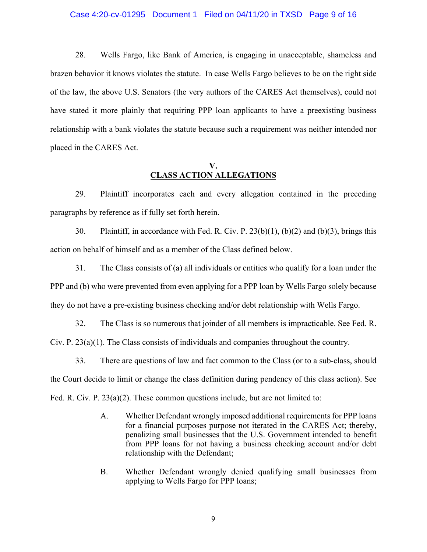#### Case 4:20-cv-01295 Document 1 Filed on 04/11/20 in TXSD Page 9 of 16

28. Wells Fargo, like Bank of America, is engaging in unacceptable, shameless and brazen behavior it knows violates the statute. In case Wells Fargo believes to be on the right side of the law, the above U.S. Senators (the very authors of the CARES Act themselves), could not have stated it more plainly that requiring PPP loan applicants to have a preexisting business relationship with a bank violates the statute because such a requirement was neither intended nor placed in the CARES Act.

### **V. CLASS ACTION ALLEGATIONS**

29. Plaintiff incorporates each and every allegation contained in the preceding paragraphs by reference as if fully set forth herein.

30. Plaintiff, in accordance with Fed. R. Civ. P. 23(b)(1), (b)(2) and (b)(3), brings this action on behalf of himself and as a member of the Class defined below.

31. The Class consists of (a) all individuals or entities who qualify for a loan under the PPP and (b) who were prevented from even applying for a PPP loan by Wells Fargo solely because they do not have a pre-existing business checking and/or debt relationship with Wells Fargo.

32. The Class is so numerous that joinder of all members is impracticable. See Fed. R. Civ. P. 23(a)(1). The Class consists of individuals and companies throughout the country.

33. There are questions of law and fact common to the Class (or to a sub-class, should the Court decide to limit or change the class definition during pendency of this class action). See Fed. R. Civ. P. 23(a)(2). These common questions include, but are not limited to:

- A. Whether Defendant wrongly imposed additional requirements for PPP loans for a financial purposes purpose not iterated in the CARES Act; thereby, penalizing small businesses that the U.S. Government intended to benefit from PPP loans for not having a business checking account and/or debt relationship with the Defendant;
- B. Whether Defendant wrongly denied qualifying small businesses from applying to Wells Fargo for PPP loans;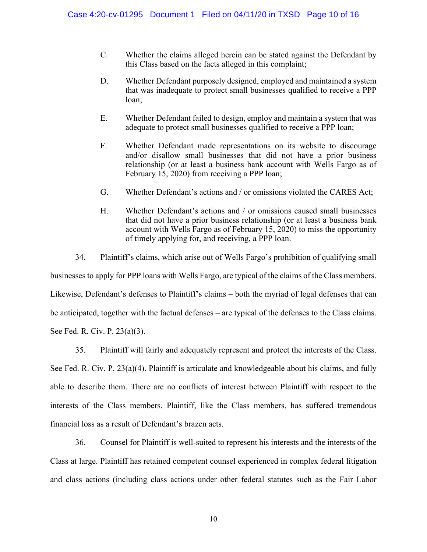- C. Whether the claims alleged herein can be stated against the Defendant by this Class based on the facts alleged in this complaint;
- D. Whether Defendant purposely designed, employed and maintained a system that was inadequate to protect small businesses qualified to receive a PPP loan;
- E. Whether Defendant failed to design, employ and maintain a system that was adequate to protect small businesses qualified to receive a PPP loan;
- F. Whether Defendant made representations on its website to discourage and/or disallow small businesses that did not have a prior business relationship (or at least a business bank account with Wells Fargo as of February 15, 2020) from receiving a PPP loan;
- G. Whether Defendant's actions and / or omissions violated the CARES Act;
- H. Whether Defendant's actions and / or omissions caused small businesses that did not have a prior business relationship (or at least a business bank account with Wells Fargo as of February 15, 2020) to miss the opportunity of timely applying for, and receiving, a PPP loan.

34. Plaintiff's claims, which arise out of Wells Fargo's prohibition of qualifying small businesses to apply for PPP loans with Wells Fargo, are typical of the claims of the Class members. Likewise, Defendant's defenses to Plaintiff's claims – both the myriad of legal defenses that can be anticipated, together with the factual defenses – are typical of the defenses to the Class claims. See Fed. R. Civ. P. 23(a)(3).

35. Plaintiff will fairly and adequately represent and protect the interests of the Class. See Fed. R. Civ. P. 23(a)(4). Plaintiff is articulate and knowledgeable about his claims, and fully able to describe them. There are no conflicts of interest between Plaintiff with respect to the interests of the Class members. Plaintiff, like the Class members, has suffered tremendous financial loss as a result of Defendant's brazen acts.

36. Counsel for Plaintiff is well-suited to represent his interests and the interests of the Class at large. Plaintiff has retained competent counsel experienced in complex federal litigation and class actions (including class actions under other federal statutes such as the Fair Labor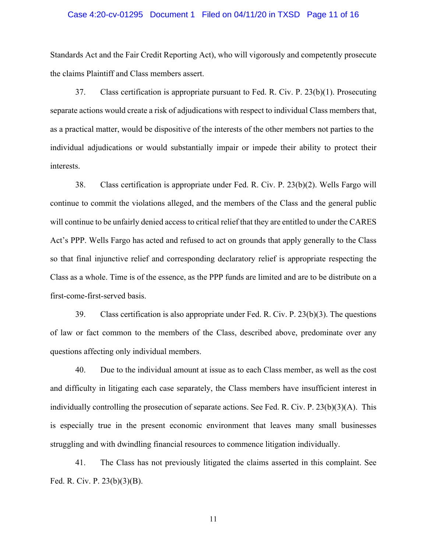#### Case 4:20-cv-01295 Document 1 Filed on 04/11/20 in TXSD Page 11 of 16

Standards Act and the Fair Credit Reporting Act), who will vigorously and competently prosecute the claims Plaintiff and Class members assert.

37. Class certification is appropriate pursuant to Fed. R. Civ. P. 23(b)(1). Prosecuting separate actions would create a risk of adjudications with respect to individual Class members that, as a practical matter, would be dispositive of the interests of the other members not parties to the individual adjudications or would substantially impair or impede their ability to protect their interests.

38. Class certification is appropriate under Fed. R. Civ. P. 23(b)(2). Wells Fargo will continue to commit the violations alleged, and the members of the Class and the general public will continue to be unfairly denied access to critical relief that they are entitled to under the CARES Act's PPP. Wells Fargo has acted and refused to act on grounds that apply generally to the Class so that final injunctive relief and corresponding declaratory relief is appropriate respecting the Class as a whole. Time is of the essence, as the PPP funds are limited and are to be distribute on a first-come-first-served basis.

39. Class certification is also appropriate under Fed. R. Civ. P. 23(b)(3). The questions of law or fact common to the members of the Class, described above, predominate over any questions affecting only individual members.

40. Due to the individual amount at issue as to each Class member, as well as the cost and difficulty in litigating each case separately, the Class members have insufficient interest in individually controlling the prosecution of separate actions. See Fed. R. Civ. P. 23(b)(3)(A). This is especially true in the present economic environment that leaves many small businesses struggling and with dwindling financial resources to commence litigation individually.

41. The Class has not previously litigated the claims asserted in this complaint. See Fed. R. Civ. P. 23(b)(3)(B).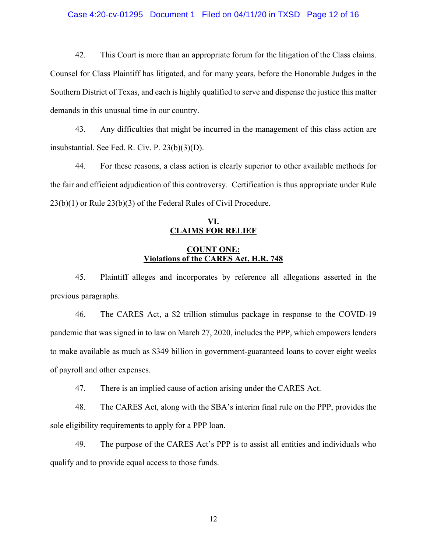#### Case 4:20-cv-01295 Document 1 Filed on 04/11/20 in TXSD Page 12 of 16

42. This Court is more than an appropriate forum for the litigation of the Class claims. Counsel for Class Plaintiff has litigated, and for many years, before the Honorable Judges in the Southern District of Texas, and each is highly qualified to serve and dispense the justice this matter demands in this unusual time in our country.

43. Any difficulties that might be incurred in the management of this class action are insubstantial. See Fed. R. Civ. P. 23(b)(3)(D).

44. For these reasons, a class action is clearly superior to other available methods for the fair and efficient adjudication of this controversy. Certification is thus appropriate under Rule 23(b)(1) or Rule 23(b)(3) of the Federal Rules of Civil Procedure.

# **VI. CLAIMS FOR RELIEF**

## **COUNT ONE: Violations of the CARES Act, H.R. 748**

45. Plaintiff alleges and incorporates by reference all allegations asserted in the previous paragraphs.

46. The CARES Act, a \$2 trillion stimulus package in response to the COVID-19 pandemic that was signed in to law on March 27, 2020, includes the PPP, which empowers lenders to make available as much as \$349 billion in government-guaranteed loans to cover eight weeks of payroll and other expenses.

47. There is an implied cause of action arising under the CARES Act.

48. The CARES Act, along with the SBA's interim final rule on the PPP, provides the sole eligibility requirements to apply for a PPP loan.

49. The purpose of the CARES Act's PPP is to assist all entities and individuals who qualify and to provide equal access to those funds.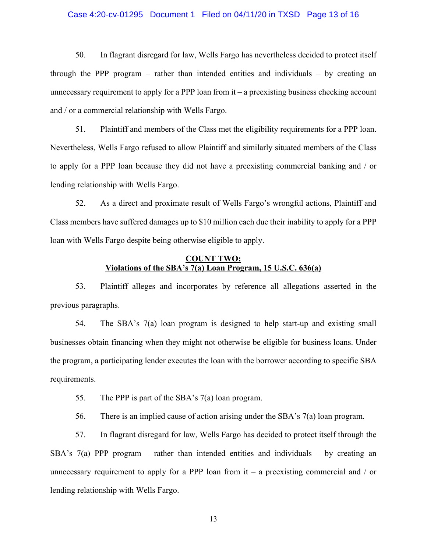#### Case 4:20-cv-01295 Document 1 Filed on 04/11/20 in TXSD Page 13 of 16

50. In flagrant disregard for law, Wells Fargo has nevertheless decided to protect itself through the PPP program – rather than intended entities and individuals – by creating an unnecessary requirement to apply for a PPP loan from it – a preexisting business checking account and / or a commercial relationship with Wells Fargo.

51. Plaintiff and members of the Class met the eligibility requirements for a PPP loan. Nevertheless, Wells Fargo refused to allow Plaintiff and similarly situated members of the Class to apply for a PPP loan because they did not have a preexisting commercial banking and / or lending relationship with Wells Fargo.

52. As a direct and proximate result of Wells Fargo's wrongful actions, Plaintiff and Class members have suffered damages up to \$10 million each due their inability to apply for a PPP loan with Wells Fargo despite being otherwise eligible to apply.

## **COUNT TWO: Violations of the SBA's 7(a) Loan Program, 15 U.S.C. 636(a)**

53. Plaintiff alleges and incorporates by reference all allegations asserted in the previous paragraphs.

54. The SBA's 7(a) loan program is designed to help start-up and existing small businesses obtain financing when they might not otherwise be eligible for business loans. Under the program, a participating lender executes the loan with the borrower according to specific SBA requirements.

55. The PPP is part of the SBA's 7(a) loan program.

56. There is an implied cause of action arising under the SBA's 7(a) loan program.

57. In flagrant disregard for law, Wells Fargo has decided to protect itself through the SBA's  $7(a)$  PPP program – rather than intended entities and individuals – by creating an unnecessary requirement to apply for a PPP loan from it – a preexisting commercial and  $\prime$  or lending relationship with Wells Fargo.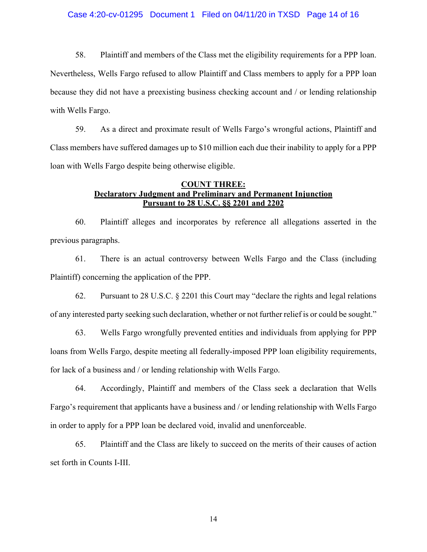#### Case 4:20-cv-01295 Document 1 Filed on 04/11/20 in TXSD Page 14 of 16

58. Plaintiff and members of the Class met the eligibility requirements for a PPP loan. Nevertheless, Wells Fargo refused to allow Plaintiff and Class members to apply for a PPP loan because they did not have a preexisting business checking account and / or lending relationship with Wells Fargo.

59. As a direct and proximate result of Wells Fargo's wrongful actions, Plaintiff and Class members have suffered damages up to \$10 million each due their inability to apply for a PPP loan with Wells Fargo despite being otherwise eligible.

## **COUNT THREE: Declaratory Judgment and Preliminary and Permanent Injunction Pursuant to 28 U.S.C. §§ 2201 and 2202**

60. Plaintiff alleges and incorporates by reference all allegations asserted in the previous paragraphs.

61. There is an actual controversy between Wells Fargo and the Class (including Plaintiff) concerning the application of the PPP.

62. Pursuant to 28 U.S.C. § 2201 this Court may "declare the rights and legal relations of any interested party seeking such declaration, whether or not further relief is or could be sought."

63. Wells Fargo wrongfully prevented entities and individuals from applying for PPP loans from Wells Fargo, despite meeting all federally-imposed PPP loan eligibility requirements, for lack of a business and / or lending relationship with Wells Fargo.

64. Accordingly, Plaintiff and members of the Class seek a declaration that Wells Fargo's requirement that applicants have a business and / or lending relationship with Wells Fargo in order to apply for a PPP loan be declared void, invalid and unenforceable.

65. Plaintiff and the Class are likely to succeed on the merits of their causes of action set forth in Counts I-III.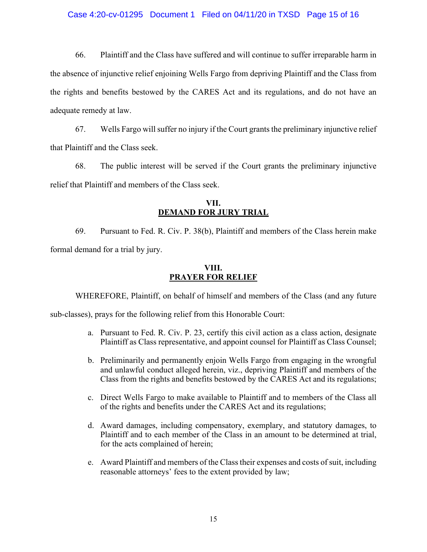### Case 4:20-cv-01295 Document 1 Filed on 04/11/20 in TXSD Page 15 of 16

66. Plaintiff and the Class have suffered and will continue to suffer irreparable harm in the absence of injunctive relief enjoining Wells Fargo from depriving Plaintiff and the Class from the rights and benefits bestowed by the CARES Act and its regulations, and do not have an adequate remedy at law.

67. Wells Fargo will suffer no injury if the Court grants the preliminary injunctive relief that Plaintiff and the Class seek.

68. The public interest will be served if the Court grants the preliminary injunctive relief that Plaintiff and members of the Class seek.

### **VII. DEMAND FOR JURY TRIAL**

69. Pursuant to Fed. R. Civ. P. 38(b), Plaintiff and members of the Class herein make formal demand for a trial by jury.

## **VIII. PRAYER FOR RELIEF**

WHEREFORE, Plaintiff, on behalf of himself and members of the Class (and any future

sub-classes), prays for the following relief from this Honorable Court:

- a. Pursuant to Fed. R. Civ. P. 23, certify this civil action as a class action, designate Plaintiff as Class representative, and appoint counsel for Plaintiff as Class Counsel;
- b. Preliminarily and permanently enjoin Wells Fargo from engaging in the wrongful and unlawful conduct alleged herein, viz., depriving Plaintiff and members of the Class from the rights and benefits bestowed by the CARES Act and its regulations;
- c. Direct Wells Fargo to make available to Plaintiff and to members of the Class all of the rights and benefits under the CARES Act and its regulations;
- d. Award damages, including compensatory, exemplary, and statutory damages, to Plaintiff and to each member of the Class in an amount to be determined at trial, for the acts complained of herein;
- e. Award Plaintiff and members of the Class their expenses and costs of suit, including reasonable attorneys' fees to the extent provided by law;